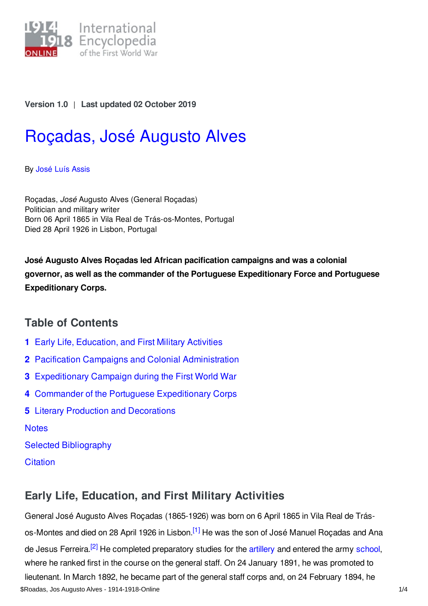

### **Version 1.0** | **Last updated 02 October 2019**

# [Roçadas,](https://encyclopedia.1914-1918-online.net/article/rocadas_jose_augusto_alves) José Augusto Alves

By José Luís [Assis](https://encyclopedia.1914-1918-online.net/contributors/Jos�_Lu�s_Assis)

Roçadas, *José* Augusto Alves (General Roçadas) Politician and military writer Born 06 April 1865 in Vila Real de Trás-os-Montes, Portugal Died 28 April 1926 in Lisbon, Portugal

**José Augusto Alves Roçadas led African pacification campaigns and was a colonial governor, as well as the commander of the Portuguese Expeditionary Force and Portuguese Expeditionary Corps.**

# **Table of Contents**

- **1** Early Life, [Education,](#page-0-0) and First Military Activities
- **2** Pacification Campaigns and Colonial [Administration](#page-1-0)
- **3** [Expeditionary](#page-1-1) Campaign during the First World War
- **4** Commander of the Portuguese [Expeditionary](#page-2-0) Corps
- **5** Literary Production and [Decorations](#page-2-1)

**[Notes](#page-2-2)** 

Selected [Bibliography](#page-3-0)

**[Citation](#page-3-1)** 

## <span id="page-0-1"></span><span id="page-0-0"></span>**Early Life, Education, and First Military Activities**

<span id="page-0-2"></span>General José Augusto Alves Roçadas (1865-1926) was born on 6 April 1865 in Vila Real de Trás-os-Montes and died on 28 April 1926 in Lisbon.<sup>[\[1\]](#page-2-3)</sup> He was the son of José Manuel Roçadas and Ana de Jesus Ferreira.<sup>[\[2\]](#page-2-4)</sup> He completed preparatory studies for the [artillery](/article/artillery) and entered the army [school](/article/schools_and_universities), where he ranked first in the course on the general staff. On 24 January 1891, he was promoted to lieutenant. In March 1892, he became part of the general staff corps and, on 24 February 1894, he \$Roadas, Jos Augusto Alves - 1914-1918-Online 1/4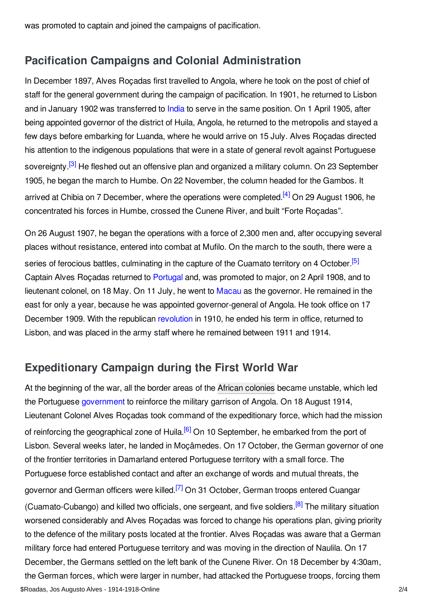was promoted to captain and joined the campaigns of pacification.

## <span id="page-1-0"></span>**Pacification Campaigns and Colonial Administration**

In December 1897, Alves Roçadas first travelled to Angola, where he took on the post of chief of staff for the general government during the campaign of pacification. In 1901, he returned to Lisbon and in January 1902 was transferred to [India](/article/portuguese_india) to serve in the same position. On 1 April 1905, after being appointed governor of the district of Huila, Angola, he returned to the metropolis and stayed a few days before embarking for Luanda, where he would arrive on 15 July. Alves Roçadas directed his attention to the indigenous populations that were in a state of general revolt against Portuguese sovereignty.<sup>[\[3\]](#page-2-5)</sup> He fleshed out an offensive plan and organized a military column. On 23 September 1905, he began the march to Humbe. On 22 November, the column headed for the Gambos. It arrived at Chibia on 7 December, where the operations were completed.<sup>[\[4\]](#page-2-6)</sup> On 29 August 1906, he concentrated his forces in Humbe, crossed the Cunene River, and built "Forte Roçadas".

<span id="page-1-4"></span><span id="page-1-3"></span><span id="page-1-2"></span>On 26 August 1907, he began the operations with a force of 2,300 men and, after occupying several places without resistance, entered into combat at Mufilo. On the march to the south, there were a series of ferocious battles, culminating in the capture of the Cuamato territory on 4 October.<sup>[\[5\]](#page-2-7)</sup> Captain Alves Roçadas returned to [Portugal](/article/portugal) and, was promoted to major, on 2 April 1908, and to lieutenant colonel, on 18 May. On 11 July, he went to [Macau](/article/portuguese_macau) as the governor. He remained in the east for only a year, because he was appointed governor-general of Angola. He took office on 17 December 1909. With the republican [revolution](/article/revolutions_portugal) in 1910, he ended his term in office, returned to Lisbon, and was placed in the army staff where he remained between 1911 and 1914.

# <span id="page-1-1"></span>**Expeditionary Campaign during the First World War**

<span id="page-1-7"></span><span id="page-1-6"></span><span id="page-1-5"></span>At the beginning of the war, all the border areas of the African [colonies](/article/african_colonies_portugal) became unstable, which led the Portuguese [government](/article/governments_parliaments_and_parties_portugal) to reinforce the military garrison of Angola. On 18 August 1914, Lieutenant Colonel Alves Roçadas took command of the expeditionary force, which had the mission of reinforcing the geographical zone of Huila.<sup>[\[6\]](#page-2-8)</sup> On 10 September, he embarked from the port of Lisbon. Several weeks later, he landed in Moçâmedes. On 17 October, the German governor of one of the frontier territories in Damarland entered Portuguese territory with a small force. The Portuguese force established contact and after an exchange of words and mutual threats, the governor and German officers were killed.<sup>[\[7\]](#page-3-2)</sup> On 31 October, German troops entered Cuangar (Cuamato-Cubango) and killed two officials, one sergeant, and five soldiers.<sup>[\[8\]](#page-3-3)</sup> The military situation worsened considerably and Alves Roçadas was forced to change his operations plan, giving priority to the defence of the military posts located at the frontier. Alves Roçadas was aware that a German military force had entered Portuguese territory and was moving in the direction of Naulila. On 17 December, the Germans settled on the left bank of the Cunene River. On 18 December by 4:30am, the German forces, which were larger in number, had attacked the Portuguese troops, forcing them \$Roadas, Jos Augusto Alves - 1914-1918-Online 2/4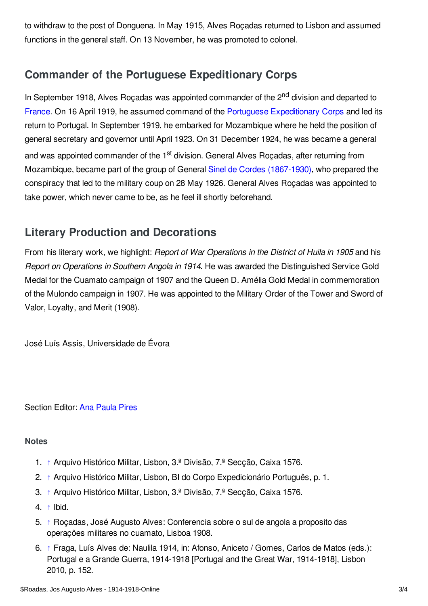to withdraw to the post of Donguena. In May 1915, Alves Roçadas returned to Lisbon and assumed functions in the general staff. On 13 November, he was promoted to colonel.

# <span id="page-2-0"></span>**Commander of the Portuguese Expeditionary Corps**

In September 1918, Alves Roçadas was appointed commander of the 2<sup>nd</sup> division and departed to [France](/article/france). On 16 April 1919, he assumed command of the Portuguese [Expeditionary](/article/portuguese_expeditionary_corps) Corps and led its return to Portugal. In September 1919, he embarked for Mozambique where he held the position of general secretary and governor until April 1923. On 31 December 1924, he was became a general and was appointed commander of the 1<sup>st</sup> division. General Alves Roçadas, after returning from Mozambique, became part of the group of General Sinel de Cordes [\(1867-1930\)](/index/names/124030033), who prepared the conspiracy that led to the military coup on 28 May 1926. General Alves Roçadas was appointed to take power, which never came to be, as he feel ill shortly beforehand.

# <span id="page-2-1"></span>**Literary Production and Decorations**

From his literary work, we highlight: *Report of War Operations in the District of Huila in 1905* and his *Report on Operations in Southern Angola in 1914*. He was awarded the Distinguished Service Gold Medal for the Cuamato campaign of 1907 and the Queen D. Amélia Gold Medal in commemoration of the Mulondo campaign in 1907. He was appointed to the Military Order of the Tower and Sword of Valor, Loyalty, and Merit (1908).

José Luís Assis, Universidade de Évora

Section Editor: Ana [Paula](https://encyclopedia.1914-1918-online.net/contributors/Ana_Pires) Pires

#### <span id="page-2-2"></span>**Notes**

- <span id="page-2-3"></span>1. [↑](#page-0-1) Arquivo Histórico Militar, Lisbon, 3.ª Divisão, 7.ª Secção, Caixa 1576.
- <span id="page-2-4"></span>2. [↑](#page-0-2) Arquivo Histórico Militar, Lisbon, BI do Corpo Expedicionário Português, p. 1.
- <span id="page-2-5"></span>3. [↑](#page-1-2) Arquivo Histórico Militar, Lisbon, 3.ª Divisão, 7.ª Secção, Caixa 1576.
- <span id="page-2-6"></span>4. [↑](#page-1-3) Ibid.
- <span id="page-2-7"></span>5. [↑](#page-1-4) Roçadas, José Augusto Alves: Conferencia sobre o sul de angola a proposito das operações militares no cuamato, Lisboa 1908.
- <span id="page-2-8"></span>6. [↑](#page-1-5) Fraga, Luís Alves de: Naulila 1914, in: Afonso, Aniceto / Gomes, Carlos de Matos (eds.): Portugal e a Grande Guerra, 1914-1918 [Portugal and the Great War, 1914-1918], Lisbon 2010, p. 152.